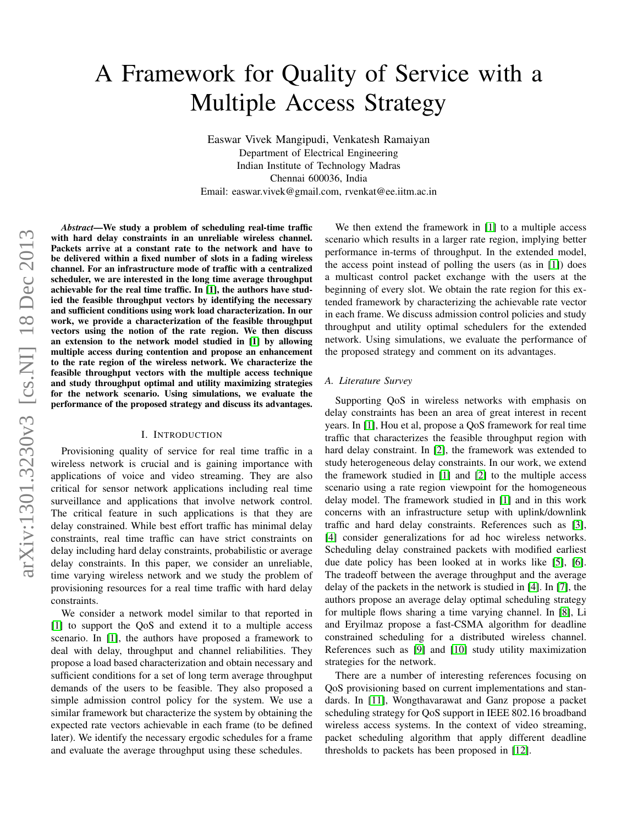# A Framework for Quality of Service with a Multiple Access Strategy

Easwar Vivek Mangipudi, Venkatesh Ramaiyan Department of Electrical Engineering Indian Institute of Technology Madras Chennai 600036, India Email: easwar.vivek@gmail.com, rvenkat@ee.iitm.ac.in

*Abstract*—We study a problem of scheduling real-time traffic with hard delay constraints in an unreliable wireless channel. Packets arrive at a constant rate to the network and have to be delivered within a fixed number of slots in a fading wireless channel. For an infrastructure mode of traffic with a centralized scheduler, we are interested in the long time average throughput achievable for the real time traffic. In [\[1\]](#page-5-0), the authors have studied the feasible throughput vectors by identifying the necessary and sufficient conditions using work load characterization. In our work, we provide a characterization of the feasible throughput vectors using the notion of the rate region. We then discuss an extension to the network model studied in [\[1\]](#page-5-0) by allowing multiple access during contention and propose an enhancement to the rate region of the wireless network. We characterize the feasible throughput vectors with the multiple access technique and study throughput optimal and utility maximizing strategies for the network scenario. Using simulations, we evaluate the performance of the proposed strategy and discuss its advantages.

# I. INTRODUCTION

Provisioning quality of service for real time traffic in a wireless network is crucial and is gaining importance with applications of voice and video streaming. They are also critical for sensor network applications including real time surveillance and applications that involve network control. The critical feature in such applications is that they are delay constrained. While best effort traffic has minimal delay constraints, real time traffic can have strict constraints on delay including hard delay constraints, probabilistic or average delay constraints. In this paper, we consider an unreliable, time varying wireless network and we study the problem of provisioning resources for a real time traffic with hard delay constraints.

We consider a network model similar to that reported in [\[1\]](#page-5-0) to support the QoS and extend it to a multiple access scenario. In [\[1\]](#page-5-0), the authors have proposed a framework to deal with delay, throughput and channel reliabilities. They propose a load based characterization and obtain necessary and sufficient conditions for a set of long term average throughput demands of the users to be feasible. They also proposed a simple admission control policy for the system. We use a similar framework but characterize the system by obtaining the expected rate vectors achievable in each frame (to be defined later). We identify the necessary ergodic schedules for a frame and evaluate the average throughput using these schedules.

We then extend the framework in [\[1\]](#page-5-0) to a multiple access scenario which results in a larger rate region, implying better performance in-terms of throughput. In the extended model, the access point instead of polling the users (as in [\[1\]](#page-5-0)) does a multicast control packet exchange with the users at the beginning of every slot. We obtain the rate region for this extended framework by characterizing the achievable rate vector in each frame. We discuss admission control policies and study throughput and utility optimal schedulers for the extended network. Using simulations, we evaluate the performance of the proposed strategy and comment on its advantages.

# *A. Literature Survey*

Supporting QoS in wireless networks with emphasis on delay constraints has been an area of great interest in recent years. In [\[1\]](#page-5-0), Hou et al, propose a QoS framework for real time traffic that characterizes the feasible throughput region with hard delay constraint. In [\[2\]](#page-5-1), the framework was extended to study heterogeneous delay constraints. In our work, we extend the framework studied in [\[1\]](#page-5-0) and [\[2\]](#page-5-1) to the multiple access scenario using a rate region viewpoint for the homogeneous delay model. The framework studied in [\[1\]](#page-5-0) and in this work concerns with an infrastructure setup with uplink/downlink traffic and hard delay constraints. References such as [\[3\]](#page-5-2), [\[4\]](#page-5-3) consider generalizations for ad hoc wireless networks. Scheduling delay constrained packets with modified earliest due date policy has been looked at in works like [\[5\]](#page-5-4), [\[6\]](#page-5-5). The tradeoff between the average throughput and the average delay of the packets in the network is studied in [\[4\]](#page-5-3). In [\[7\]](#page-5-6), the authors propose an average delay optimal scheduling strategy for multiple flows sharing a time varying channel. In [\[8\]](#page-5-7), Li and Eryilmaz propose a fast-CSMA algorithm for deadline constrained scheduling for a distributed wireless channel. References such as [\[9\]](#page-5-8) and [\[10\]](#page-5-9) study utility maximization strategies for the network.

There are a number of interesting references focusing on QoS provisioning based on current implementations and standards. In [\[11\]](#page-5-10), Wongthavarawat and Ganz propose a packet scheduling strategy for QoS support in IEEE 802.16 broadband wireless access systems. In the context of video streaming, packet scheduling algorithm that apply different deadline thresholds to packets has been proposed in [\[12\]](#page-5-11).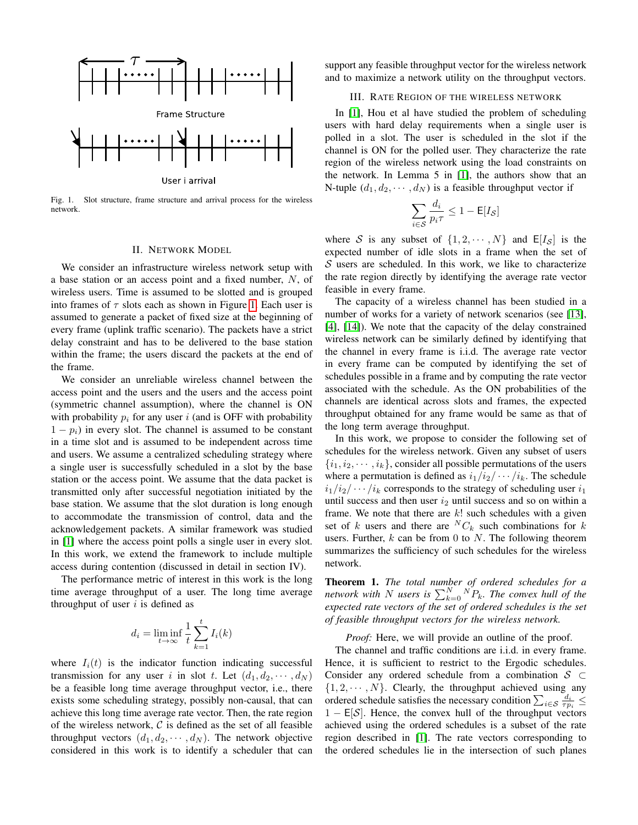

<span id="page-1-0"></span>Fig. 1. Slot structure, frame structure and arrival process for the wireless network.

#### II. NETWORK MODEL

We consider an infrastructure wireless network setup with a base station or an access point and a fixed number, N, of wireless users. Time is assumed to be slotted and is grouped into frames of  $\tau$  slots each as shown in Figure [1.](#page-1-0) Each user is assumed to generate a packet of fixed size at the beginning of every frame (uplink traffic scenario). The packets have a strict delay constraint and has to be delivered to the base station within the frame; the users discard the packets at the end of the frame.

We consider an unreliable wireless channel between the access point and the users and the users and the access point (symmetric channel assumption), where the channel is ON with probability  $p_i$  for any user i (and is OFF with probability  $1 - p_i$ ) in every slot. The channel is assumed to be constant in a time slot and is assumed to be independent across time and users. We assume a centralized scheduling strategy where a single user is successfully scheduled in a slot by the base station or the access point. We assume that the data packet is transmitted only after successful negotiation initiated by the base station. We assume that the slot duration is long enough to accommodate the transmission of control, data and the acknowledgement packets. A similar framework was studied in [\[1\]](#page-5-0) where the access point polls a single user in every slot. In this work, we extend the framework to include multiple access during contention (discussed in detail in section IV).

The performance metric of interest in this work is the long time average throughput of a user. The long time average throughput of user  $i$  is defined as

$$
d_i = \liminf_{t \to \infty} \frac{1}{t} \sum_{k=1}^t I_i(k)
$$

where  $I_i(t)$  is the indicator function indicating successful transmission for any user i in slot t. Let  $(d_1, d_2, \dots, d_N)$ be a feasible long time average throughput vector, i.e., there exists some scheduling strategy, possibly non-causal, that can achieve this long time average rate vector. Then, the rate region of the wireless network,  $\mathcal C$  is defined as the set of all feasible throughput vectors  $(d_1, d_2, \dots, d_N)$ . The network objective considered in this work is to identify a scheduler that can

support any feasible throughput vector for the wireless network and to maximize a network utility on the throughput vectors.

# III. RATE REGION OF THE WIRELESS NETWORK

<span id="page-1-2"></span>In [\[1\]](#page-5-0), Hou et al have studied the problem of scheduling users with hard delay requirements when a single user is polled in a slot. The user is scheduled in the slot if the channel is ON for the polled user. They characterize the rate region of the wireless network using the load constraints on the network. In Lemma 5 in [\[1\]](#page-5-0), the authors show that an N-tuple  $(d_1, d_2, \dots, d_N)$  is a feasible throughput vector if

$$
\sum_{i \in \mathcal{S}} \frac{d_i}{p_i \tau} \le 1 - \mathsf{E}[I_{\mathcal{S}}]
$$

where S is any subset of  $\{1, 2, \cdots, N\}$  and  $E[I_{\mathcal{S}}]$  is the expected number of idle slots in a frame when the set of  $S$  users are scheduled. In this work, we like to characterize the rate region directly by identifying the average rate vector feasible in every frame.

The capacity of a wireless channel has been studied in a number of works for a variety of network scenarios (see [\[13\]](#page-5-12), [\[4\]](#page-5-3), [\[14\]](#page-5-13)). We note that the capacity of the delay constrained wireless network can be similarly defined by identifying that the channel in every frame is i.i.d. The average rate vector in every frame can be computed by identifying the set of schedules possible in a frame and by computing the rate vector associated with the schedule. As the ON probabilities of the channels are identical across slots and frames, the expected throughput obtained for any frame would be same as that of the long term average throughput.

In this work, we propose to consider the following set of schedules for the wireless network. Given any subset of users  $\{i_1, i_2, \dots, i_k\}$ , consider all possible permutations of the users where a permutation is defined as  $i_1/i_2/\cdots/i_k$ . The schedule  $i_1/i_2/\cdots/i_k$  corresponds to the strategy of scheduling user  $i_1$ until success and then user  $i_2$  until success and so on within a frame. We note that there are  $k!$  such schedules with a given set of k users and there are  ${}^NC_k$  such combinations for k users. Further,  $k$  can be from 0 to  $N$ . The following theorem summarizes the sufficiency of such schedules for the wireless network.

<span id="page-1-1"></span>Theorem 1. *The total number of ordered schedules for a* network with N users is  $\sum_{k=0}^{N} {^N P_k}$ . The convex hull of the *expected rate vectors of the set of ordered schedules is the set of feasible throughput vectors for the wireless network.*

*Proof:* Here, we will provide an outline of the proof.

The channel and traffic conditions are i.i.d. in every frame. Hence, it is sufficient to restrict to the Ergodic schedules. Consider any ordered schedule from a combination  $S \subset$  $\{1, 2, \dots, N\}$ . Clearly, the throughput achieved using any ordered schedule satisfies the necessary condition  $\sum_{i \in \mathcal{S}} \frac{d_i}{\tau p_i} \leq$  $1 - E[S]$ . Hence, the convex hull of the throughput vectors achieved using the ordered schedules is a subset of the rate region described in [\[1\]](#page-5-0). The rate vectors corresponding to the ordered schedules lie in the intersection of such planes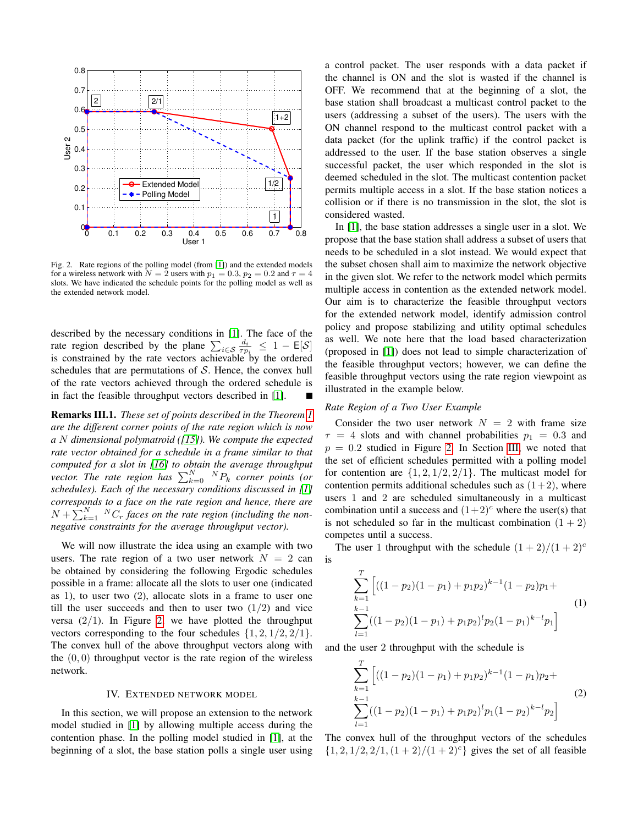

<span id="page-2-0"></span>Fig. 2. Rate regions of the polling model (from [\[1\]](#page-5-0)) and the extended models for a wireless network with  $N = 2$  users with  $p_1 = 0.3$ ,  $p_2 = 0.2$  and  $\tau = 4$ slots. We have indicated the schedule points for the polling model as well as the extended network model.

described by the necessary conditions in [\[1\]](#page-5-0). The face of the rate region described by the plane  $\sum_{i \in S} \frac{d_i}{\tau p_i} \leq 1 - \mathsf{E}[\mathcal{S}]$ is constrained by the rate vectors achievable by the ordered schedules that are permutations of  $S$ . Hence, the convex hull of the rate vectors achieved through the ordered schedule is in fact the feasible throughput vectors described in [\[1\]](#page-5-0).

Remarks III.1. *These set of points described in the Theorem [1](#page-1-1) are the different corner points of the rate region which is now a* N *dimensional polymatroid ([\[15\]](#page-5-14)). We compute the expected rate vector obtained for a schedule in a frame similar to that computed for a slot in [\[16\]](#page-5-15) to obtain the average throughput vector. The rate region has*  $\sum_{k=0}^{N} {}^{N}P_k$  *corner points (or* schedules). Each of the necessary conditions discussed in [\[1\]](#page-5-0) *corresponds to a face on the rate region and hence, there are*  $N + \sum_{k=1}^{N} {N \choose r}$  *faces on the rate region (including the nonnegative constraints for the average throughput vector).*

We will now illustrate the idea using an example with two users. The rate region of a two user network  $N = 2$  can be obtained by considering the following Ergodic schedules possible in a frame: allocate all the slots to user one (indicated as 1), to user two (2), allocate slots in a frame to user one till the user succeeds and then to user two  $(1/2)$  and vice versa  $(2/1)$ . In Figure [2,](#page-2-0) we have plotted the throughput vectors corresponding to the four schedules  $\{1, 2, 1/2, 2/1\}.$ The convex hull of the above throughput vectors along with the  $(0, 0)$  throughput vector is the rate region of the wireless network.

# IV. EXTENDED NETWORK MODEL

In this section, we will propose an extension to the network model studied in [\[1\]](#page-5-0) by allowing multiple access during the contention phase. In the polling model studied in [\[1\]](#page-5-0), at the beginning of a slot, the base station polls a single user using a control packet. The user responds with a data packet if the channel is ON and the slot is wasted if the channel is OFF. We recommend that at the beginning of a slot, the base station shall broadcast a multicast control packet to the users (addressing a subset of the users). The users with the ON channel respond to the multicast control packet with a data packet (for the uplink traffic) if the control packet is addressed to the user. If the base station observes a single successful packet, the user which responded in the slot is deemed scheduled in the slot. The multicast contention packet permits multiple access in a slot. If the base station notices a collision or if there is no transmission in the slot, the slot is considered wasted.

In [\[1\]](#page-5-0), the base station addresses a single user in a slot. We propose that the base station shall address a subset of users that needs to be scheduled in a slot instead. We would expect that the subset chosen shall aim to maximize the network objective in the given slot. We refer to the network model which permits multiple access in contention as the extended network model. Our aim is to characterize the feasible throughput vectors for the extended network model, identify admission control policy and propose stabilizing and utility optimal schedules as well. We note here that the load based characterization (proposed in [\[1\]](#page-5-0)) does not lead to simple characterization of the feasible throughput vectors; however, we can define the feasible throughput vectors using the rate region viewpoint as illustrated in the example below.

# *Rate Region of a Two User Example*

Consider the two user network  $N = 2$  with frame size  $\tau = 4$  slots and with channel probabilities  $p_1 = 0.3$  and  $p = 0.2$  studied in Figure [2.](#page-2-0) In Section [III,](#page-1-2) we noted that the set of efficient schedules permitted with a polling model for contention are  $\{1, 2, 1/2, 2/1\}$ . The multicast model for contention permits additional schedules such as  $(1+2)$ , where users 1 and 2 are scheduled simultaneously in a multicast combination until a success and  $(1+2)^c$  where the user(s) that is not scheduled so far in the multicast combination  $(1 + 2)$ competes until a success.

The user 1 throughput with the schedule  $(1 + 2)/(1 + 2)^c$ is

$$
\sum_{k=1}^{T} \left[ ((1-p_2)(1-p_1) + p_1 p_2)^{k-1} (1-p_2) p_1 + \sum_{l=1}^{k-1} ((1-p_2)(1-p_1) + p_1 p_2)^l p_2 (1-p_1)^{k-l} p_1 \right]
$$
\n(1)

and the user 2 throughput with the schedule is

$$
\sum_{k=1}^{T} \left[ ((1-p_2)(1-p_1) + p_1 p_2)^{k-1} (1-p_1) p_2 + \sum_{l=1}^{k-1} ((1-p_2)(1-p_1) + p_1 p_2)^l p_1 (1-p_2)^{k-l} p_2 \right]
$$
\n(2)

The convex hull of the throughput vectors of the schedules  $\{1, 2, 1/2, 2/1, (1+2)/(1+2)^c\}$  gives the set of all feasible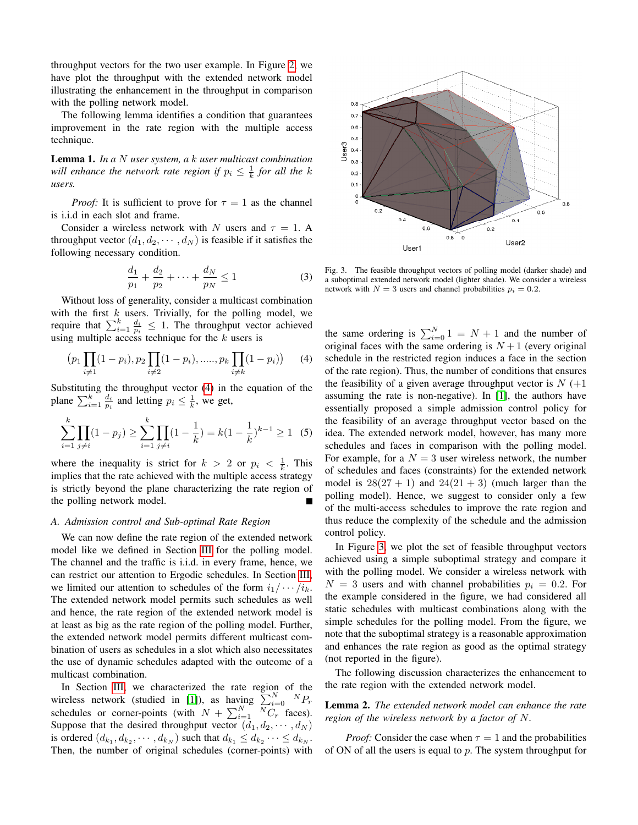throughput vectors for the two user example. In Figure [2,](#page-2-0) we have plot the throughput with the extended network model illustrating the enhancement in the throughput in comparison with the polling network model.

The following lemma identifies a condition that guarantees improvement in the rate region with the multiple access technique.

Lemma 1. *In a* N *user system, a* k *user multicast combination will enhance the network rate region if*  $p_i \leq \frac{1}{k}$  *for all the k users.*

*Proof:* It is sufficient to prove for  $\tau = 1$  as the channel is i.i.d in each slot and frame.

Consider a wireless network with N users and  $\tau = 1$ . A throughput vector  $(d_1, d_2, \dots, d_N)$  is feasible if it satisfies the following necessary condition.

$$
\frac{d_1}{p_1} + \frac{d_2}{p_2} + \dots + \frac{d_N}{p_N} \le 1
$$
 (3)

Without loss of generality, consider a multicast combination with the first  $k$  users. Trivially, for the polling model, we require that  $\sum_{i=1}^{k} \frac{d_i}{p_i} \leq 1$ . The throughput vector achieved using multiple access technique for the  $k$  users is

<span id="page-3-0"></span>
$$
(p_1 \prod_{i \neq 1} (1 - p_i), p_2 \prod_{i \neq 2} (1 - p_i), \dots, p_k \prod_{i \neq k} (1 - p_i)) \tag{4}
$$

Substituting the throughput vector [\(4\)](#page-3-0) in the equation of the plane  $\sum_{i=1}^{k} \frac{d_i}{p_i}$  and letting  $p_i \leq \frac{1}{k}$ , we get,

$$
\sum_{i=1}^{k} \prod_{j \neq i} (1 - p_j) \ge \sum_{i=1}^{k} \prod_{j \neq i} (1 - \frac{1}{k}) = k(1 - \frac{1}{k})^{k-1} \ge 1 \quad (5)
$$

where the inequality is strict for  $k > 2$  or  $p_i < \frac{1}{k}$ . This implies that the rate achieved with the multiple access strategy is strictly beyond the plane characterizing the rate region of the polling network model.

#### *A. Admission control and Sub-optimal Rate Region*

We can now define the rate region of the extended network model like we defined in Section [III](#page-1-2) for the polling model. The channel and the traffic is i.i.d. in every frame, hence, we can restrict our attention to Ergodic schedules. In Section [III,](#page-1-2) we limited our attention to schedules of the form  $i_1/\cdots/i_k$ . The extended network model permits such schedules as well and hence, the rate region of the extended network model is at least as big as the rate region of the polling model. Further, the extended network model permits different multicast combination of users as schedules in a slot which also necessitates the use of dynamic schedules adapted with the outcome of a multicast combination.

In Section [III,](#page-1-2) we characterized the rate region of the wireless network (studied in [\[1\]](#page-5-0)), as having  $\sum_{i=0}^{N} {^N P_r}$ schedules or corner-points (with  $N + \sum_{i=1}^{N} \overline{N} \overline{C}_r^{\text{}}$  faces). Suppose that the desired throughput vector  $(d_1, d_2, \dots, d_N)$ is ordered  $(d_{k_1}, d_{k_2}, \dots, d_{k_N})$  such that  $d_{k_1} \leq d_{k_2} \dots \leq d_{k_N}$ . Then, the number of original schedules (corner-points) with



<span id="page-3-1"></span>Fig. 3. The feasible throughput vectors of polling model (darker shade) and a suboptimal extended network model (lighter shade). We consider a wireless network with  $N = 3$  users and channel probabilities  $p_i = 0.2$ .

the same ordering is  $\sum_{i=0}^{N} 1 = N + 1$  and the number of original faces with the same ordering is  $N+1$  (every original schedule in the restricted region induces a face in the section of the rate region). Thus, the number of conditions that ensures the feasibility of a given average throughput vector is  $N (+1)$ assuming the rate is non-negative). In [\[1\]](#page-5-0), the authors have essentially proposed a simple admission control policy for the feasibility of an average throughput vector based on the idea. The extended network model, however, has many more schedules and faces in comparison with the polling model. For example, for a  $N = 3$  user wireless network, the number of schedules and faces (constraints) for the extended network model is  $28(27 + 1)$  and  $24(21 + 3)$  (much larger than the polling model). Hence, we suggest to consider only a few of the multi-access schedules to improve the rate region and thus reduce the complexity of the schedule and the admission control policy.

In Figure [3,](#page-3-1) we plot the set of feasible throughput vectors achieved using a simple suboptimal strategy and compare it with the polling model. We consider a wireless network with  $N = 3$  users and with channel probabilities  $p_i = 0.2$ . For the example considered in the figure, we had considered all static schedules with multicast combinations along with the simple schedules for the polling model. From the figure, we note that the suboptimal strategy is a reasonable approximation and enhances the rate region as good as the optimal strategy (not reported in the figure).

The following discussion characterizes the enhancement to the rate region with the extended network model.

# Lemma 2. *The extended network model can enhance the rate region of the wireless network by a factor of* N*.*

*Proof:* Consider the case when  $\tau = 1$  and the probabilities of ON of all the users is equal to  $p$ . The system throughput for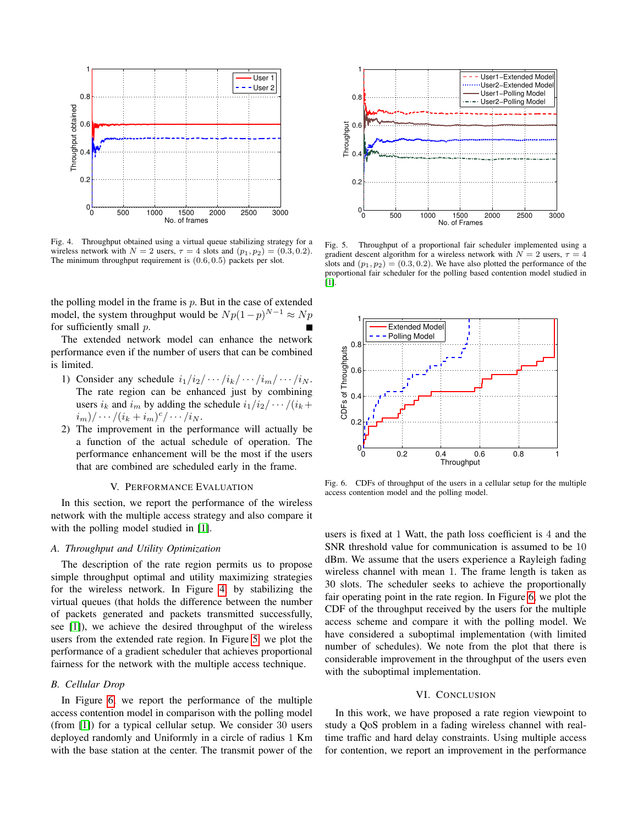

<span id="page-4-0"></span>Fig. 4. Throughput obtained using a virtual queue stabilizing strategy for a wireless network with  $N = 2$  users,  $\tau = 4$  slots and  $(p_1, p_2) = (0.3, 0.2)$ . The minimum throughput requirement is (0.6, 0.5) packets per slot.

the polling model in the frame is  $p$ . But in the case of extended model, the system throughput would be  $Np(1-p)^{N-1} \approx Np$ for sufficiently small p.

The extended network model can enhance the network performance even if the number of users that can be combined is limited.

- 1) Consider any schedule  $i_1/i_2/\cdots/i_k/\cdots/i_m/\cdots/i_N$ . The rate region can be enhanced just by combining users  $i_k$  and  $i_m$  by adding the schedule  $i_1/i_2/\cdots/(i_k+1)$  $(i_m)/\cdots/(i_k+i_m)^c/\cdots/i_N.$
- 2) The improvement in the performance will actually be a function of the actual schedule of operation. The performance enhancement will be the most if the users that are combined are scheduled early in the frame.

# V. PERFORMANCE EVALUATION

In this section, we report the performance of the wireless network with the multiple access strategy and also compare it with the polling model studied in [\[1\]](#page-5-0).

# *A. Throughput and Utility Optimization*

The description of the rate region permits us to propose simple throughput optimal and utility maximizing strategies for the wireless network. In Figure [4,](#page-4-0) by stabilizing the virtual queues (that holds the difference between the number of packets generated and packets transmitted successfully, see [\[1\]](#page-5-0)), we achieve the desired throughput of the wireless users from the extended rate region. In Figure [5,](#page-4-1) we plot the performance of a gradient scheduler that achieves proportional fairness for the network with the multiple access technique.

#### *B. Cellular Drop*

In Figure [6,](#page-4-2) we report the performance of the multiple access contention model in comparison with the polling model (from [\[1\]](#page-5-0)) for a typical cellular setup. We consider 30 users deployed randomly and Uniformly in a circle of radius 1 Km with the base station at the center. The transmit power of the



<span id="page-4-1"></span>Fig. 5. Throughput of a proportional fair scheduler implemented using a gradient descent algorithm for a wireless network with  $N = 2$  users,  $\tau = 4$ slots and  $(p_1, p_2) = (0.3, 0.2)$ . We have also plotted the performance of the proportional fair scheduler for the polling based contention model studied in [\[1\]](#page-5-0).



<span id="page-4-2"></span>Fig. 6. CDFs of throughput of the users in a cellular setup for the multiple access contention model and the polling model.

users is fixed at 1 Watt, the path loss coefficient is 4 and the SNR threshold value for communication is assumed to be 10 dBm. We assume that the users experience a Rayleigh fading wireless channel with mean 1. The frame length is taken as 30 slots. The scheduler seeks to achieve the proportionally fair operating point in the rate region. In Figure [6,](#page-4-2) we plot the CDF of the throughput received by the users for the multiple access scheme and compare it with the polling model. We have considered a suboptimal implementation (with limited number of schedules). We note from the plot that there is considerable improvement in the throughput of the users even with the suboptimal implementation.

# VI. CONCLUSION

In this work, we have proposed a rate region viewpoint to study a QoS problem in a fading wireless channel with realtime traffic and hard delay constraints. Using multiple access for contention, we report an improvement in the performance